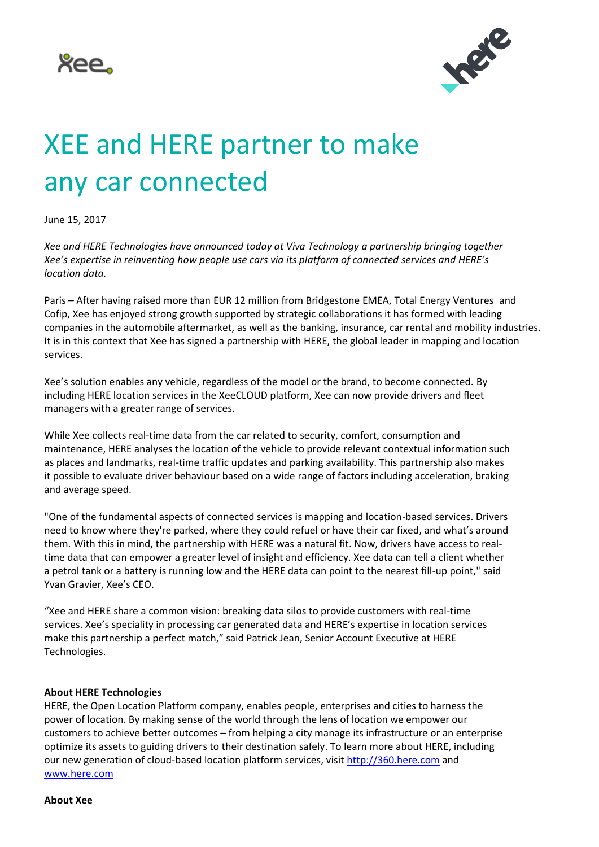



## XEE and HERE partner to make any car connected

June 15, 2017

*Xee and HERE Technologies have announced today at Viva Technology a partnership bringing together Xee's expertise in reinventing how people use cars via its platform of connected services and HERE's location data.* 

Paris – After having raised more than EUR 12 million from Bridgestone EMEA, Total Energy Ventures and Cofip, Xee has enjoyed strong growth supported by strategic collaborations it has formed with leading companies in the automobile aftermarket, as well as the banking, insurance, car rental and mobility industries. It is in this context that Xee has signed a partnership with HERE, the global leader in mapping and location services.

Xee's solution enables any vehicle, regardless of the model or the brand, to become connected. By including HERE location services in the XeeCLOUD platform, Xee can now provide drivers and fleet managers with a greater range of services.

While Xee collects real-time data from the car related to security, comfort, consumption and maintenance, HERE analyses the location of the vehicle to provide relevant contextual information such as places and landmarks, [real-time traffic updates](http://360.here.com/2017/03/23/expands-real-time-traffic-coverage-63-countries/) and parking availability. This partnership also makes it possible to evaluate driver behaviour based on a wide range of factors including acceleration, braking and average speed.

"One of the fundamental aspects of connected services is mapping and location-based services. Drivers need to know where they're parked, where they could refuel or have their car fixed, and what's around them. With this in mind, the partnership with HERE was a natural fit. Now, drivers have access to realtime data that can empower a greater level of insight and efficiency. Xee data can tell a client whether a petrol tank or a battery is running low and the HERE data can point to the nearest fill-up point," said Yvan Gravier, Xee's CEO.

"Xee and HERE share a common vision: breaking data silos to provide customers with real-time services. Xee's speciality in processing car generated data and HERE's expertise in location services make this partnership a perfect match," said Patrick Jean, Senior Account Executive at HERE Technologies.

## **About HERE Technologies**

HERE, the Open Location Platform company, enables people, enterprises and cities to harness the power of location. By making sense of the world through the lens of location we empower our customers to achieve better outcomes – from helping a city manage its infrastructure or an enterprise optimize its assets to guiding drivers to their destination safely. To learn more about HERE, including our new generation of cloud-based location platform services, visi[t http://360.here.com](http://360.here.com/) and [www.here.com](http://www.here.com/)

**About Xee**